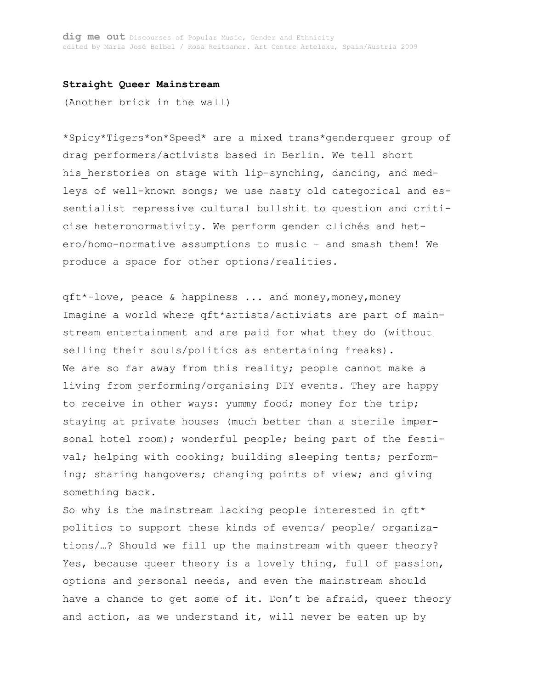#### **Straight Queer Mainstream**

(Another brick in the wall)

\*Spicy\*Tigers\*on\*Speed\* are a mixed trans\*genderqueer group of drag performers/activists based in Berlin. We tell short his herstories on stage with lip-synching, dancing, and medleys of well-known songs; we use nasty old categorical and essentialist repressive cultural bullshit to question and criticise heteronormativity. We perform gender clichés and hetero/homo-normative assumptions to music – and smash them! We produce a space for other options/realities.

qft\*-love, peace & happiness ... and money,money,money Imagine a world where qft\*artists/activists are part of mainstream entertainment and are paid for what they do (without selling their souls/politics as entertaining freaks). We are so far away from this reality; people cannot make a living from performing/organising DIY events. They are happy to receive in other ways: yummy food; money for the trip; staying at private houses (much better than a sterile impersonal hotel room); wonderful people; being part of the festival; helping with cooking; building sleeping tents; performing; sharing hangovers; changing points of view; and giving something back.

So why is the mainstream lacking people interested in qft\* politics to support these kinds of events/ people/ organizations/…? Should we fill up the mainstream with queer theory? Yes, because queer theory is a lovely thing, full of passion, options and personal needs, and even the mainstream should have a chance to get some of it. Don't be afraid, queer theory and action, as we understand it, will never be eaten up by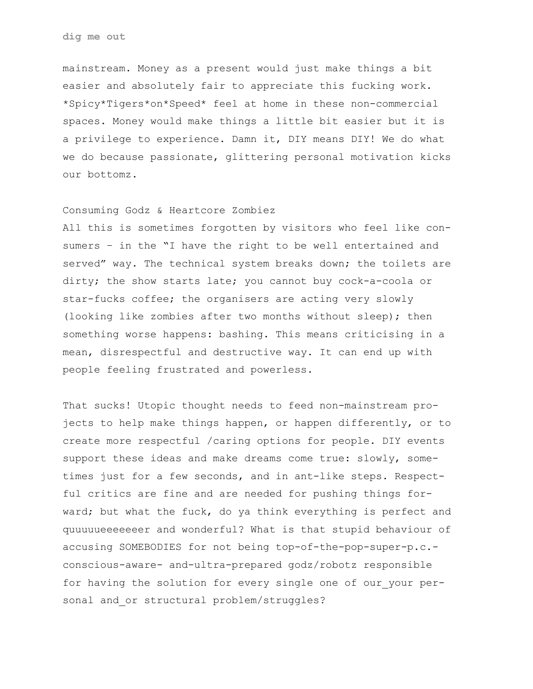mainstream. Money as a present would just make things a bit easier and absolutely fair to appreciate this fucking work. \*Spicy\*Tigers\*on\*Speed\* feel at home in these non-commercial spaces. Money would make things a little bit easier but it is a privilege to experience. Damn it, DIY means DIY! We do what we do because passionate, glittering personal motivation kicks our bottomz.

# Consuming Godz & Heartcore Zombiez

All this is sometimes forgotten by visitors who feel like consumers – in the "I have the right to be well entertained and served" way. The technical system breaks down; the toilets are dirty; the show starts late; you cannot buy cock-a-coola or star-fucks coffee; the organisers are acting very slowly (looking like zombies after two months without sleep); then something worse happens: bashing. This means criticising in a mean, disrespectful and destructive way. It can end up with people feeling frustrated and powerless.

That sucks! Utopic thought needs to feed non-mainstream projects to help make things happen, or happen differently, or to create more respectful /caring options for people. DIY events support these ideas and make dreams come true: slowly, sometimes just for a few seconds, and in ant-like steps. Respectful critics are fine and are needed for pushing things forward; but what the fuck, do ya think everything is perfect and quuuuueeeeeeer and wonderful? What is that stupid behaviour of accusing SOMEBODIES for not being top-of-the-pop-super-p.c. conscious-aware- and-ultra-prepared godz/robotz responsible for having the solution for every single one of our your personal and or structural problem/struggles?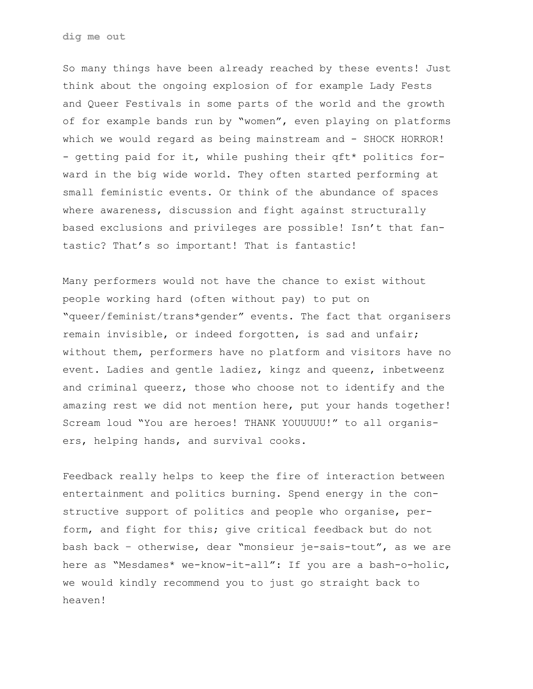So many things have been already reached by these events! Just think about the ongoing explosion of for example Lady Fests and Queer Festivals in some parts of the world and the growth of for example bands run by "women", even playing on platforms which we would regard as being mainstream and - SHOCK HORROR! - getting paid for it, while pushing their qft\* politics forward in the big wide world. They often started performing at small feministic events. Or think of the abundance of spaces where awareness, discussion and fight against structurally based exclusions and privileges are possible! Isn't that fantastic? That's so important! That is fantastic!

Many performers would not have the chance to exist without people working hard (often without pay) to put on "queer/feminist/trans\*gender" events. The fact that organisers remain invisible, or indeed forgotten, is sad and unfair; without them, performers have no platform and visitors have no event. Ladies and gentle ladiez, kingz and queenz, inbetweenz and criminal queerz, those who choose not to identify and the amazing rest we did not mention here, put your hands together! Scream loud "You are heroes! THANK YOUUUUU!" to all organisers, helping hands, and survival cooks.

Feedback really helps to keep the fire of interaction between entertainment and politics burning. Spend energy in the constructive support of politics and people who organise, perform, and fight for this; give critical feedback but do not bash back – otherwise, dear "monsieur je-sais-tout", as we are here as "Mesdames\* we-know-it-all": If you are a bash-o-holic, we would kindly recommend you to just go straight back to heaven!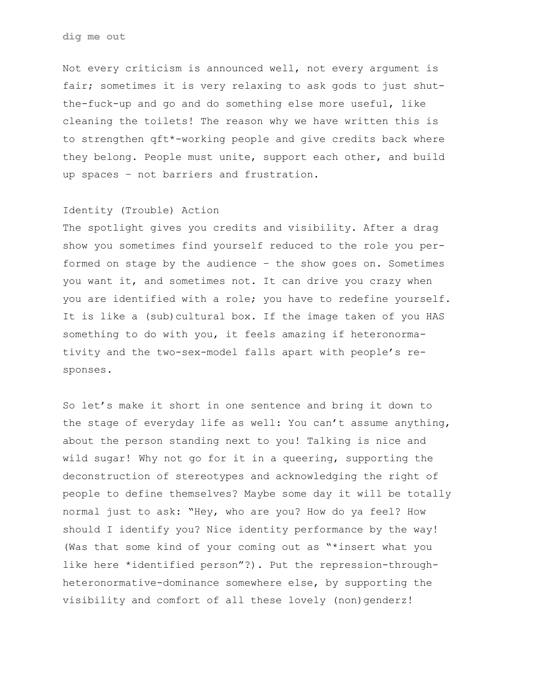Not every criticism is announced well, not every argument is fair; sometimes it is very relaxing to ask gods to just shutthe-fuck-up and go and do something else more useful, like cleaning the toilets! The reason why we have written this is to strengthen qft\*-working people and give credits back where they belong. People must unite, support each other, and build up spaces – not barriers and frustration.

# Identity (Trouble) Action

The spotlight gives you credits and visibility. After a drag show you sometimes find yourself reduced to the role you performed on stage by the audience – the show goes on. Sometimes you want it, and sometimes not. It can drive you crazy when you are identified with a role; you have to redefine yourself. It is like a (sub)cultural box. If the image taken of you HAS something to do with you, it feels amazing if heteronormativity and the two-sex-model falls apart with people's responses.

So let's make it short in one sentence and bring it down to the stage of everyday life as well: You can't assume anything, about the person standing next to you! Talking is nice and wild sugar! Why not go for it in a queering, supporting the deconstruction of stereotypes and acknowledging the right of people to define themselves? Maybe some day it will be totally normal just to ask: "Hey, who are you? How do ya feel? How should I identify you? Nice identity performance by the way! (Was that some kind of your coming out as "\*insert what you like here \*identified person"?). Put the repression-throughheteronormative-dominance somewhere else, by supporting the visibility and comfort of all these lovely (non)genderz!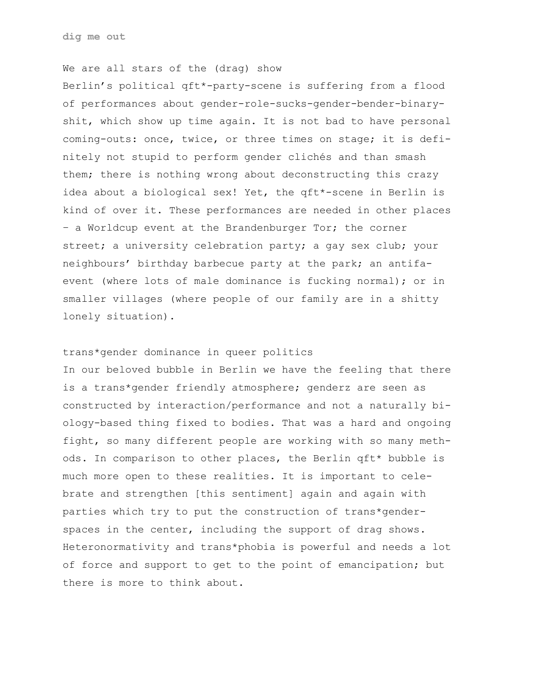**dig me out**

## We are all stars of the (drag) show

Berlin's political qft\*-party-scene is suffering from a flood of performances about gender-role-sucks-gender-bender-binaryshit, which show up time again. It is not bad to have personal coming-outs: once, twice, or three times on stage; it is definitely not stupid to perform gender clichés and than smash them; there is nothing wrong about deconstructing this crazy idea about a biological sex! Yet, the qft\*-scene in Berlin is kind of over it. These performances are needed in other places – a Worldcup event at the Brandenburger Tor; the corner street; a university celebration party; a gay sex club; your neighbours' birthday barbecue party at the park; an antifaevent (where lots of male dominance is fucking normal); or in smaller villages (where people of our family are in a shitty lonely situation).

#### trans\*gender dominance in queer politics

In our beloved bubble in Berlin we have the feeling that there is a trans\*gender friendly atmosphere; genderz are seen as constructed by interaction/performance and not a naturally biology-based thing fixed to bodies. That was a hard and ongoing fight, so many different people are working with so many methods. In comparison to other places, the Berlin qft\* bubble is much more open to these realities. It is important to celebrate and strengthen [this sentiment] again and again with parties which try to put the construction of trans\*genderspaces in the center, including the support of drag shows. Heteronormativity and trans\*phobia is powerful and needs a lot of force and support to get to the point of emancipation; but there is more to think about.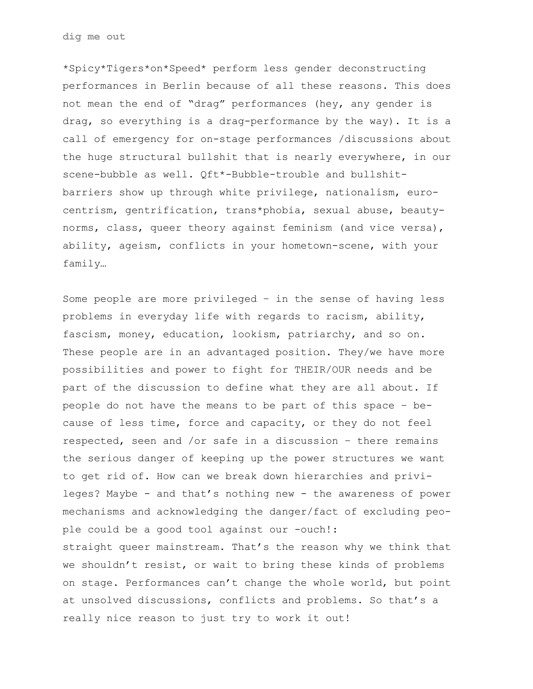\*Spicy\*Tigers\*on\*Speed\* perform less gender deconstructing performances in Berlin because of all these reasons. This does not mean the end of "drag" performances (hey, any gender is drag, so everything is a drag-performance by the way). It is a call of emergency for on-stage performances /discussions about the huge structural bullshit that is nearly everywhere, in our scene-bubble as well. Qft\*-Bubble-trouble and bullshitbarriers show up through white privilege, nationalism, eurocentrism, gentrification, trans\*phobia, sexual abuse, beautynorms, class, queer theory against feminism (and vice versa), ability, ageism, conflicts in your hometown-scene, with your family…

Some people are more privileged – in the sense of having less problems in everyday life with regards to racism, ability, fascism, money, education, lookism, patriarchy, and so on. These people are in an advantaged position. They/we have more possibilities and power to fight for THEIR/OUR needs and be part of the discussion to define what they are all about. If people do not have the means to be part of this space – because of less time, force and capacity, or they do not feel respected, seen and /or safe in a discussion – there remains the serious danger of keeping up the power structures we want to get rid of. How can we break down hierarchies and privileges? Maybe - and that's nothing new - the awareness of power mechanisms and acknowledging the danger/fact of excluding people could be a good tool against our -ouch!: straight queer mainstream. That's the reason why we think that we shouldn't resist, or wait to bring these kinds of problems on stage. Performances can't change the whole world, but point at unsolved discussions, conflicts and problems. So that's a really nice reason to just try to work it out!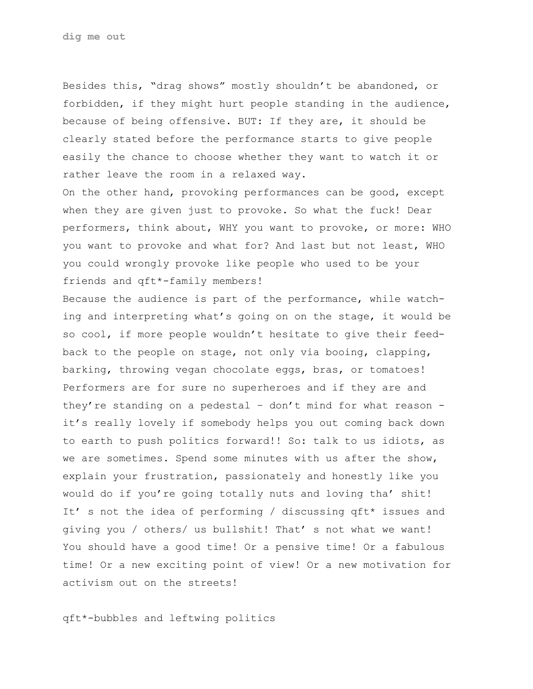Besides this, "drag shows" mostly shouldn't be abandoned, or forbidden, if they might hurt people standing in the audience, because of being offensive. BUT: If they are, it should be clearly stated before the performance starts to give people easily the chance to choose whether they want to watch it or rather leave the room in a relaxed way.

On the other hand, provoking performances can be good, except when they are given just to provoke. So what the fuck! Dear performers, think about, WHY you want to provoke, or more: WHO you want to provoke and what for? And last but not least, WHO you could wrongly provoke like people who used to be your friends and qft\*-family members!

Because the audience is part of the performance, while watching and interpreting what's going on on the stage, it would be so cool, if more people wouldn't hesitate to give their feedback to the people on stage, not only via booing, clapping, barking, throwing vegan chocolate eggs, bras, or tomatoes! Performers are for sure no superheroes and if they are and they're standing on a pedestal – don't mind for what reason it's really lovely if somebody helps you out coming back down to earth to push politics forward!! So: talk to us idiots, as we are sometimes. Spend some minutes with us after the show, explain your frustration, passionately and honestly like you would do if you're going totally nuts and loving tha' shit! It' s not the idea of performing / discussing qft\* issues and giving you / others/ us bullshit! That' s not what we want! You should have a good time! Or a pensive time! Or a fabulous time! Or a new exciting point of view! Or a new motivation for activism out on the streets!

qft\*-bubbles and leftwing politics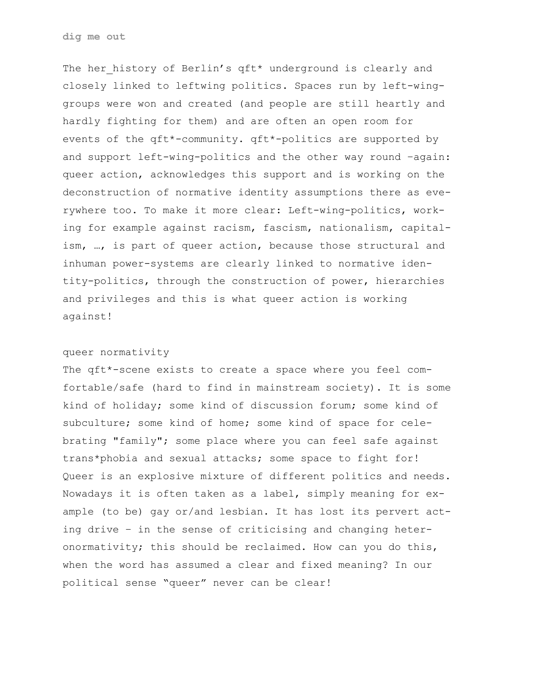The her history of Berlin's qft\* underground is clearly and closely linked to leftwing politics. Spaces run by left-winggroups were won and created (and people are still heartly and hardly fighting for them) and are often an open room for events of the qft\*-community. qft\*-politics are supported by and support left-wing-politics and the other way round –again: queer action, acknowledges this support and is working on the deconstruction of normative identity assumptions there as everywhere too. To make it more clear: Left-wing-politics, working for example against racism, fascism, nationalism, capitalism, …, is part of queer action, because those structural and inhuman power-systems are clearly linked to normative identity-politics, through the construction of power, hierarchies and privileges and this is what queer action is working against!

## queer normativity

The qft\*-scene exists to create a space where you feel comfortable/safe (hard to find in mainstream society). It is some kind of holiday; some kind of discussion forum; some kind of subculture; some kind of home; some kind of space for celebrating "family"; some place where you can feel safe against trans\*phobia and sexual attacks; some space to fight for! Queer is an explosive mixture of different politics and needs. Nowadays it is often taken as a label, simply meaning for example (to be) gay or/and lesbian. It has lost its pervert acting drive – in the sense of criticising and changing heteronormativity; this should be reclaimed. How can you do this, when the word has assumed a clear and fixed meaning? In our political sense "queer" never can be clear!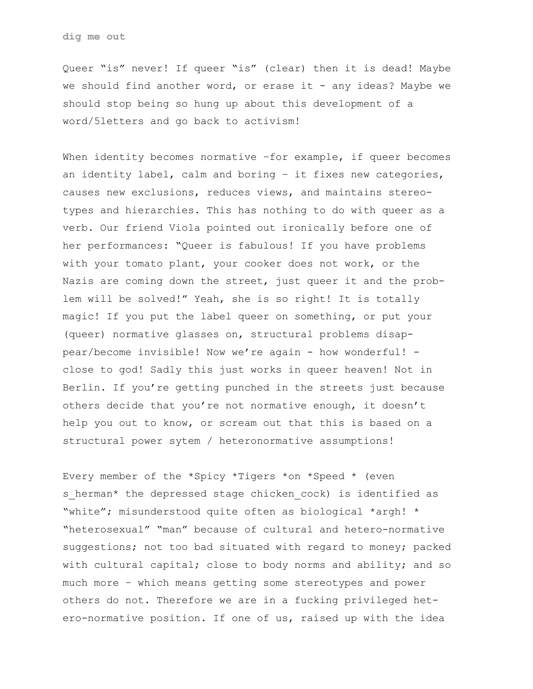Queer "is" never! If queer "is" (clear) then it is dead! Maybe we should find another word, or erase it - any ideas? Maybe we should stop being so hung up about this development of a word/5letters and go back to activism!

When identity becomes normative -for example, if queer becomes an identity label, calm and boring – it fixes new categories, causes new exclusions, reduces views, and maintains stereotypes and hierarchies. This has nothing to do with queer as a verb. Our friend Viola pointed out ironically before one of her performances: "Queer is fabulous! If you have problems with your tomato plant, your cooker does not work, or the Nazis are coming down the street, just queer it and the problem will be solved!" Yeah, she is so right! It is totally magic! If you put the label queer on something, or put your (queer) normative glasses on, structural problems disappear/become invisible! Now we're again - how wonderful! close to god! Sadly this just works in queer heaven! Not in Berlin. If you're getting punched in the streets just because others decide that you're not normative enough, it doesn't help you out to know, or scream out that this is based on a structural power sytem / heteronormative assumptions!

Every member of the \*Spicy \*Tigers \*on \*Speed \* (even s herman\* the depressed stage chicken cock) is identified as "white"; misunderstood quite often as biological \*argh! \* "heterosexual" "man" because of cultural and hetero-normative suggestions; not too bad situated with regard to money; packed with cultural capital; close to body norms and ability; and so much more – which means getting some stereotypes and power others do not. Therefore we are in a fucking privileged hetero-normative position. If one of us, raised up with the idea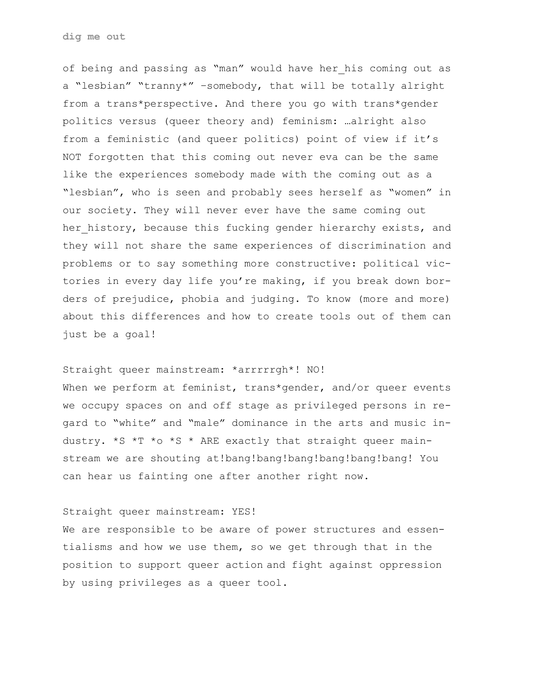of being and passing as "man" would have her his coming out as a "lesbian" "tranny\*" –somebody, that will be totally alright from a trans\*perspective. And there you go with trans\*gender politics versus (queer theory and) feminism: …alright also from a feministic (and queer politics) point of view if it's NOT forgotten that this coming out never eva can be the same like the experiences somebody made with the coming out as a "lesbian", who is seen and probably sees herself as "women" in our society. They will never ever have the same coming out her history, because this fucking gender hierarchy exists, and they will not share the same experiences of discrimination and problems or to say something more constructive: political victories in every day life you're making, if you break down borders of prejudice, phobia and judging. To know (more and more) about this differences and how to create tools out of them can just be a goal!

### Straight queer mainstream: \*arrrrrgh\*! NO!

When we perform at feminist, trans\*gender, and/or queer events we occupy spaces on and off stage as privileged persons in regard to "white" and "male" dominance in the arts and music industry. \*S \*T \*o \*S \* ARE exactly that straight queer mainstream we are shouting at!bang!bang!bang!bang!bang!bang! You can hear us fainting one after another right now.

## Straight queer mainstream: YES!

We are responsible to be aware of power structures and essentialisms and how we use them, so we get through that in the position to support queer action and fight against oppression by using privileges as a queer tool.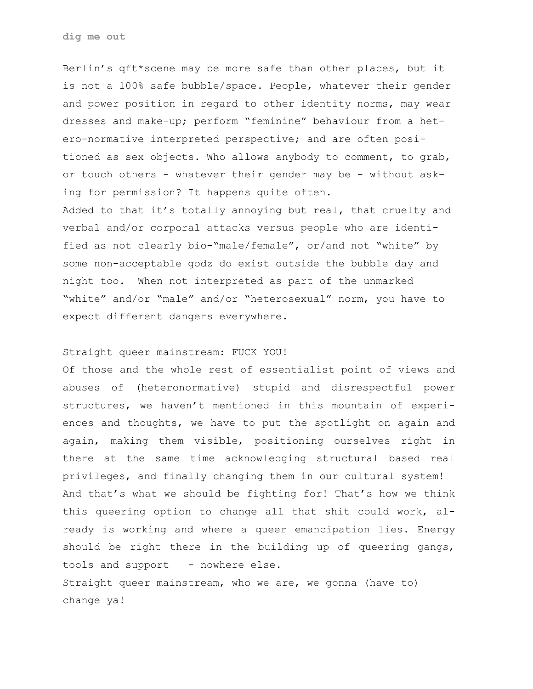Berlin's qft\*scene may be more safe than other places, but it is not a 100% safe bubble/space. People, whatever their gender and power position in regard to other identity norms, may wear dresses and make-up; perform "feminine" behaviour from a hetero-normative interpreted perspective; and are often positioned as sex objects. Who allows anybody to comment, to grab, or touch others - whatever their gender may be - without asking for permission? It happens quite often.

Added to that it's totally annoying but real, that cruelty and verbal and/or corporal attacks versus people who are identified as not clearly bio-"male/female", or/and not "white" by some non-acceptable godz do exist outside the bubble day and night too. When not interpreted as part of the unmarked "white" and/or "male" and/or "heterosexual" norm, you have to expect different dangers everywhere.

#### Straight queer mainstream: FUCK YOU!

Of those and the whole rest of essentialist point of views and abuses of (heteronormative) stupid and disrespectful power structures, we haven't mentioned in this mountain of experiences and thoughts, we have to put the spotlight on again and again, making them visible, positioning ourselves right in there at the same time acknowledging structural based real privileges, and finally changing them in our cultural system! And that's what we should be fighting for! That's how we think this queering option to change all that shit could work, already is working and where a queer emancipation lies. Energy should be right there in the building up of queering gangs, tools and support - nowhere else.

Straight queer mainstream, who we are, we gonna (have to) change ya!